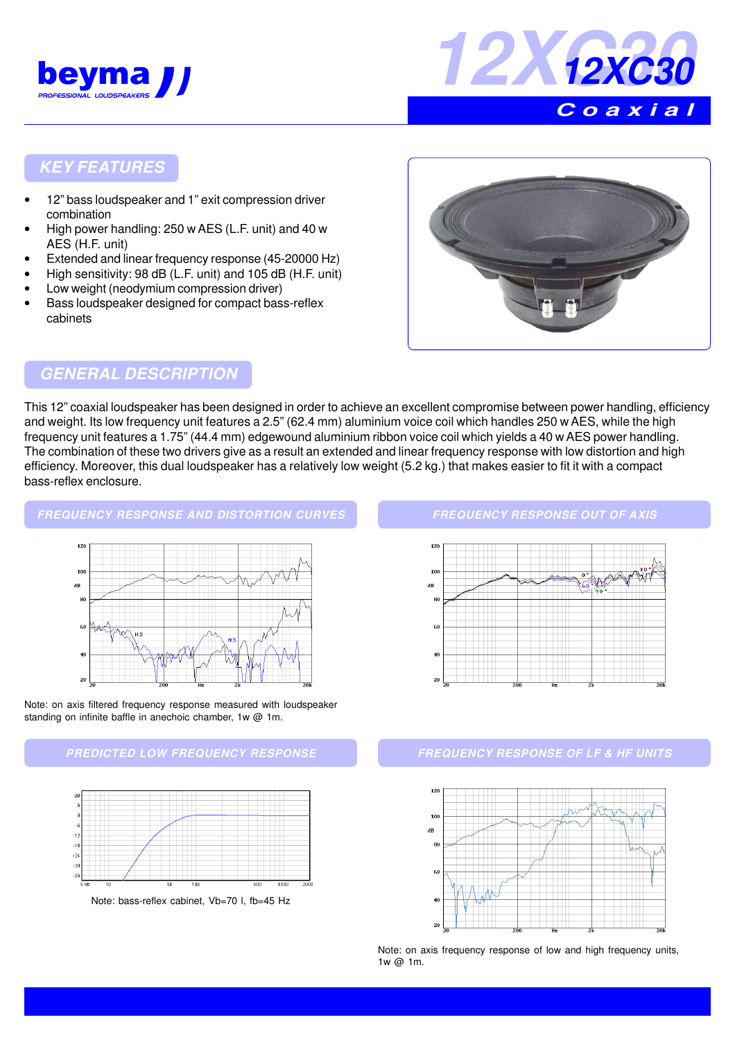



## **KEY FEATURES**

- 12" bass loudspeaker and 1" exit compression driver combination
- High power handling: 250 w AES (L.F. unit) and 40 w AES (H.F. unit)
- Extended and linear frequency response (45-20000 Hz)
- High sensitivity: 98 dB (L.F. unit) and 105 dB (H.F. unit)
- Low weight (neodymium compression driver)
- Bass loudspeaker designed for compact bass-reflex cabinets



## **GENERAL DESCRIPTION**

This 12" coaxial loudspeaker has been designed in order to achieve an excellent compromise between power handling, efficiency and weight. Its low frequency unit features a 2.5" (62.4 mm) aluminium voice coil which handles 250 w AES, while the high frequency unit features a 1.75" (44.4 mm) edgewound aluminium ribbon voice coil which yields a 40 w AES power handling. The combination of these two drivers give as a result an extended and linear frequency response with low distortion and high efficiency. Moreover, this dual loudspeaker has a relatively low weight (5.2 kg.) that makes easier to fit it with a compact bass-reflex enclosure.

#### **FREQUENCY RESPONSE AND DISTORTION CURVES**







#### **FREQUENCY RESPONSE OUT OF AXIS**



### **PREDICTED LOW FREQUENCY RESPONSE FREQUENCY RESPONSE OF LF & HF UNITS**